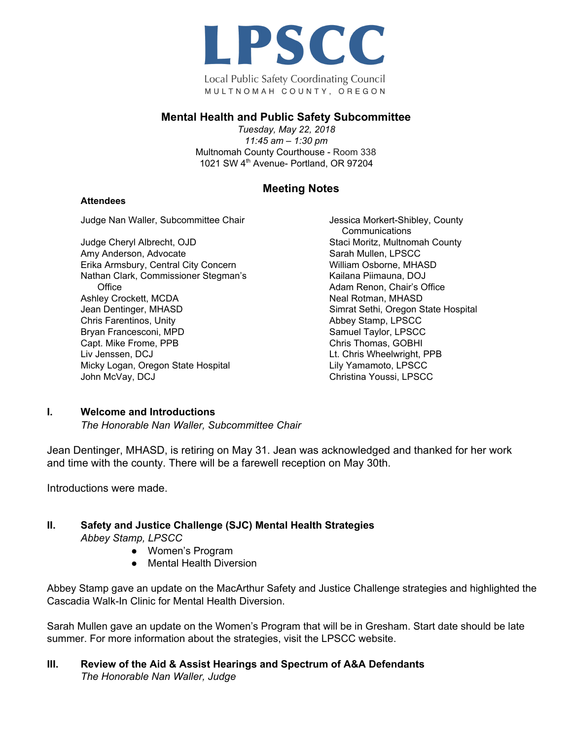

Local Public Safety Coordinating Council MULTNOMAH COUNTY, OREGON

#### **Mental Health and Public Safety Subcommittee**

*Tuesday, May 22, 2018 11:45 am – 1:30 pm* Multnomah County Courthouse - Room 338 1021 SW 4<sup>th</sup> Avenue- Portland, OR 97204

## **Meeting Notes**

#### **Attendees**

Judge Nan Waller, Subcommittee Chair

Judge Cheryl Albrecht, OJD Amy Anderson, Advocate Erika Armsbury, Central City Concern Nathan Clark, Commissioner Stegman's **Office** Ashley Crockett, MCDA Jean Dentinger, MHASD Chris Farentinos, Unity Bryan Francesconi, MPD Capt. Mike Frome, PPB Liv Jenssen, DCJ Micky Logan, Oregon State Hospital John McVay, DCJ

Jessica Morkert-Shibley, County **Communications** Staci Moritz, Multnomah County Sarah Mullen, LPSCC William Osborne, MHASD Kailana Piimauna, DOJ Adam Renon, Chair's Office Neal Rotman, MHASD Simrat Sethi, Oregon State Hospital Abbey Stamp, LPSCC Samuel Taylor, LPSCC Chris Thomas, GOBHI Lt. Chris Wheelwright, PPB Lily Yamamoto, LPSCC Christina Youssi, LPSCC

#### **I. Welcome and Introductions**

*The Honorable Nan Waller, Subcommittee Chair*

Jean Dentinger, MHASD, is retiring on May 31. Jean was acknowledged and thanked for her work and time with the county. There will be a farewell reception on May 30th.

Introductions were made.

#### **II. Safety and Justice Challenge (SJC) Mental Health Strategies**

*Abbey Stamp, LPSCC*

- Women's Program
- Mental Health Diversion

Abbey Stamp gave an update on the MacArthur Safety and Justice Challenge strategies and highlighted the Cascadia Walk-In Clinic for Mental Health Diversion.

Sarah Mullen gave an update on the Women's Program that will be in Gresham. Start date should be late summer. For more information about the strategies, visit the LPSCC website.

#### **III. Review of the Aid & Assist Hearings and Spectrum of A&A Defendants** *The Honorable Nan Waller, Judge*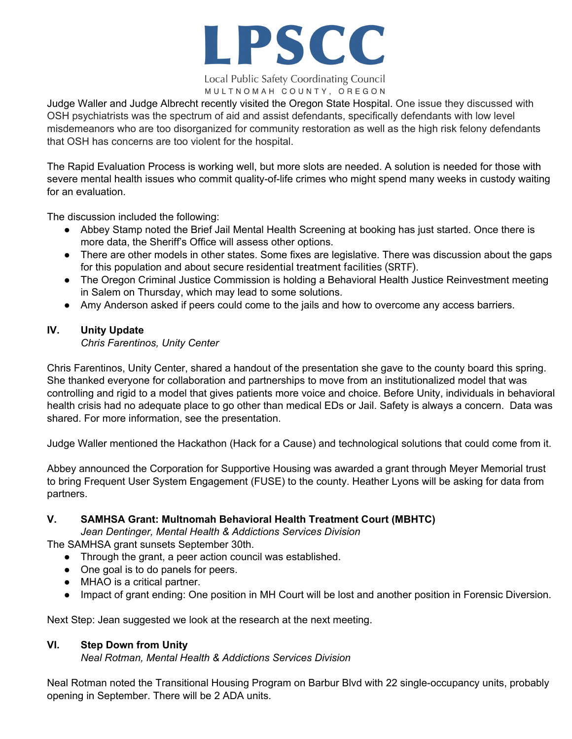

Local Public Safety Coordinating Council MULTNOMAH COUNTY, OREGON

Judge Waller and Judge Albrecht recently visited the Oregon State Hospital. One issue they discussed with OSH psychiatrists was the spectrum of aid and assist defendants, specifically defendants with low level misdemeanors who are too disorganized for community restoration as well as the high risk felony defendants that OSH has concerns are too violent for the hospital.

The Rapid Evaluation Process is working well, but more slots are needed. A solution is needed for those with severe mental health issues who commit quality-of-life crimes who might spend many weeks in custody waiting for an evaluation.

The discussion included the following:

- Abbey Stamp noted the Brief Jail Mental Health Screening at booking has just started. Once there is more data, the Sheriff's Office will assess other options.
- There are other models in other states. Some fixes are legislative. There was discussion about the gaps for this population and about secure residential treatment facilities (SRTF).
- The Oregon Criminal Justice Commission is holding a Behavioral Health Justice Reinvestment meeting in Salem on Thursday, which may lead to some solutions.
- Amy Anderson asked if peers could come to the jails and how to overcome any access barriers.

## **IV. Unity Update**

### *Chris Farentinos, Unity Center*

Chris Farentinos, Unity Center, shared a handout of the presentation she gave to the county board this spring. She thanked everyone for collaboration and partnerships to move from an institutionalized model that was controlling and rigid to a model that gives patients more voice and choice. Before Unity, individuals in behavioral health crisis had no adequate place to go other than medical EDs or Jail. Safety is always a concern. Data was shared. For more information, see the presentation.

Judge Waller mentioned the Hackathon (Hack for a Cause) and technological solutions that could come from it.

Abbey announced the Corporation for Supportive Housing was awarded a grant through Meyer Memorial trust to bring Frequent User System Engagement (FUSE) to the county. Heather Lyons will be asking for data from partners.

### **V. SAMHSA Grant: Multnomah Behavioral Health Treatment Court (MBHTC)**

*Jean Dentinger, Mental Health & Addictions Services Division*

The SAMHSA grant sunsets September 30th.

- Through the grant, a peer action council was established.
- One goal is to do panels for peers.
- MHAO is a critical partner.
- Impact of grant ending: One position in MH Court will be lost and another position in Forensic Diversion.

Next Step: Jean suggested we look at the research at the next meeting.

# **VI. Step Down from Unity**

*Neal Rotman, Mental Health & Addictions Services Division*

Neal Rotman noted the Transitional Housing Program on Barbur Blvd with 22 single-occupancy units, probably opening in September. There will be 2 ADA units.